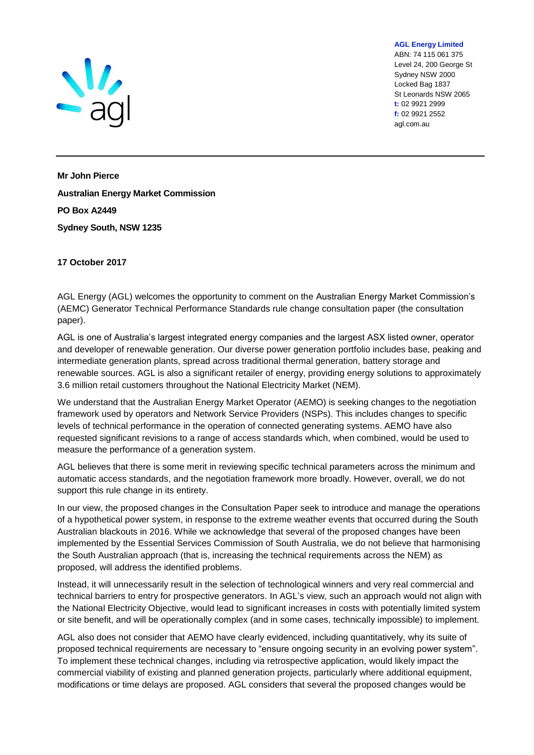

**AGL Energy Limited** ABN: 74 115 061 375 Level 24, 200 George St Sydney NSW 2000 Locked Bag 1837 St Leonards NSW 2065 **t:** 02 9921 2999 **f:** 02 9921 2552 agl.com.au

**Mr John Pierce Australian Energy Market Commission PO Box A2449 Sydney South, NSW 1235**

#### **17 October 2017**

AGL Energy (AGL) welcomes the opportunity to comment on the Australian Energy Market Commission's (AEMC) Generator Technical Performance Standards rule change consultation paper (the consultation paper).

AGL is one of Australia's largest integrated energy companies and the largest ASX listed owner, operator and developer of renewable generation. Our diverse power generation portfolio includes base, peaking and intermediate generation plants, spread across traditional thermal generation, battery storage and renewable sources. AGL is also a significant retailer of energy, providing energy solutions to approximately 3.6 million retail customers throughout the National Electricity Market (NEM).

We understand that the Australian Energy Market Operator (AEMO) is seeking changes to the negotiation framework used by operators and Network Service Providers (NSPs). This includes changes to specific levels of technical performance in the operation of connected generating systems. AEMO have also requested significant revisions to a range of access standards which, when combined, would be used to measure the performance of a generation system.

AGL believes that there is some merit in reviewing specific technical parameters across the minimum and automatic access standards, and the negotiation framework more broadly. However, overall, we do not support this rule change in its entirety.

In our view, the proposed changes in the Consultation Paper seek to introduce and manage the operations of a hypothetical power system, in response to the extreme weather events that occurred during the South Australian blackouts in 2016. While we acknowledge that several of the proposed changes have been implemented by the Essential Services Commission of South Australia, we do not believe that harmonising the South Australian approach (that is, increasing the technical requirements across the NEM) as proposed, will address the identified problems.

Instead, it will unnecessarily result in the selection of technological winners and very real commercial and technical barriers to entry for prospective generators. In AGL's view, such an approach would not align with the National Electricity Objective, would lead to significant increases in costs with potentially limited system or site benefit, and will be operationally complex (and in some cases, technically impossible) to implement.

AGL also does not consider that AEMO have clearly evidenced, including quantitatively, why its suite of proposed technical requirements are necessary to "ensure ongoing security in an evolving power system". To implement these technical changes, including via retrospective application, would likely impact the commercial viability of existing and planned generation projects, particularly where additional equipment, modifications or time delays are proposed. AGL considers that several the proposed changes would be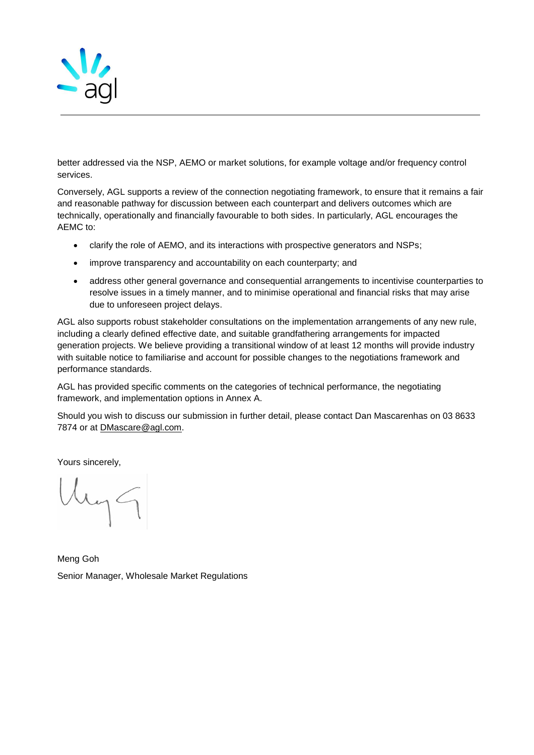

better addressed via the NSP, AEMO or market solutions, for example voltage and/or frequency control services.

Conversely, AGL supports a review of the connection negotiating framework, to ensure that it remains a fair and reasonable pathway for discussion between each counterpart and delivers outcomes which are technically, operationally and financially favourable to both sides. In particularly, AGL encourages the AEMC to:

- clarify the role of AEMO, and its interactions with prospective generators and NSPs;
- improve transparency and accountability on each counterparty; and
- address other general governance and consequential arrangements to incentivise counterparties to resolve issues in a timely manner, and to minimise operational and financial risks that may arise due to unforeseen project delays.

AGL also supports robust stakeholder consultations on the implementation arrangements of any new rule, including a clearly defined effective date, and suitable grandfathering arrangements for impacted generation projects. We believe providing a transitional window of at least 12 months will provide industry with suitable notice to familiarise and account for possible changes to the negotiations framework and performance standards.

AGL has provided specific comments on the categories of technical performance, the negotiating framework, and implementation options in Annex A.

Should you wish to discuss our submission in further detail, please contact Dan Mascarenhas on 03 8633 7874 or at [DMascare@agl.com.](mailto:DMascare@agl.com)

Yours sincerely,

hyg

Meng Goh Senior Manager, Wholesale Market Regulations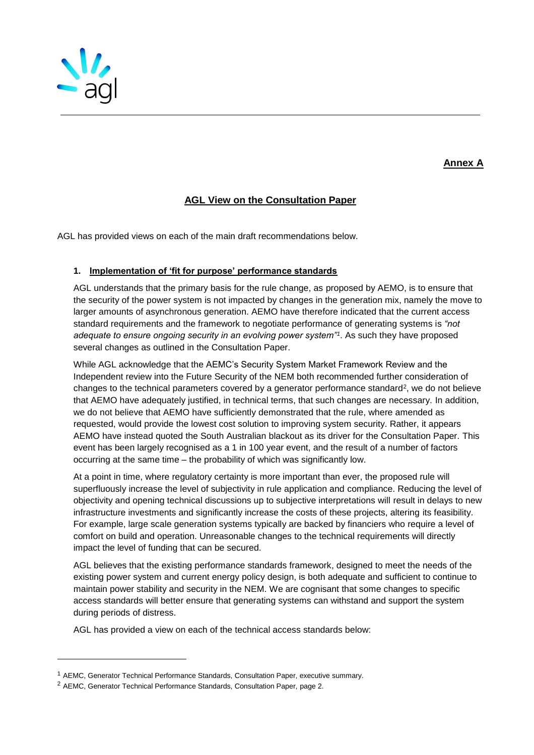

# **Annex A**

## **AGL View on the Consultation Paper**

AGL has provided views on each of the main draft recommendations below.

#### **1. Implementation of 'fit for purpose' performance standards**

AGL understands that the primary basis for the rule change, as proposed by AEMO, is to ensure that the security of the power system is not impacted by changes in the generation mix, namely the move to larger amounts of asynchronous generation. AEMO have therefore indicated that the current access standard requirements and the framework to negotiate performance of generating systems is *"not adequate to ensure ongoing security in an evolving power system"<sup>1</sup>* . As such they have proposed several changes as outlined in the Consultation Paper.

While AGL acknowledge that the AEMC's Security System Market Framework Review and the Independent review into the Future Security of the NEM both recommended further consideration of changes to the technical parameters covered by a generator performance standard<sup>2</sup>, we do not believe that AEMO have adequately justified, in technical terms, that such changes are necessary. In addition, we do not believe that AEMO have sufficiently demonstrated that the rule, where amended as requested, would provide the lowest cost solution to improving system security. Rather, it appears AEMO have instead quoted the South Australian blackout as its driver for the Consultation Paper. This event has been largely recognised as a 1 in 100 year event, and the result of a number of factors occurring at the same time – the probability of which was significantly low.

At a point in time, where regulatory certainty is more important than ever, the proposed rule will superfluously increase the level of subjectivity in rule application and compliance. Reducing the level of objectivity and opening technical discussions up to subjective interpretations will result in delays to new infrastructure investments and significantly increase the costs of these projects, altering its feasibility. For example, large scale generation systems typically are backed by financiers who require a level of comfort on build and operation. Unreasonable changes to the technical requirements will directly impact the level of funding that can be secured.

AGL believes that the existing performance standards framework, designed to meet the needs of the existing power system and current energy policy design, is both adequate and sufficient to continue to maintain power stability and security in the NEM. We are cognisant that some changes to specific access standards will better ensure that generating systems can withstand and support the system during periods of distress.

AGL has provided a view on each of the technical access standards below:

l

<sup>1</sup> AEMC, Generator Technical Performance Standards, Consultation Paper, executive summary.

<sup>2</sup> AEMC, Generator Technical Performance Standards, Consultation Paper, page 2.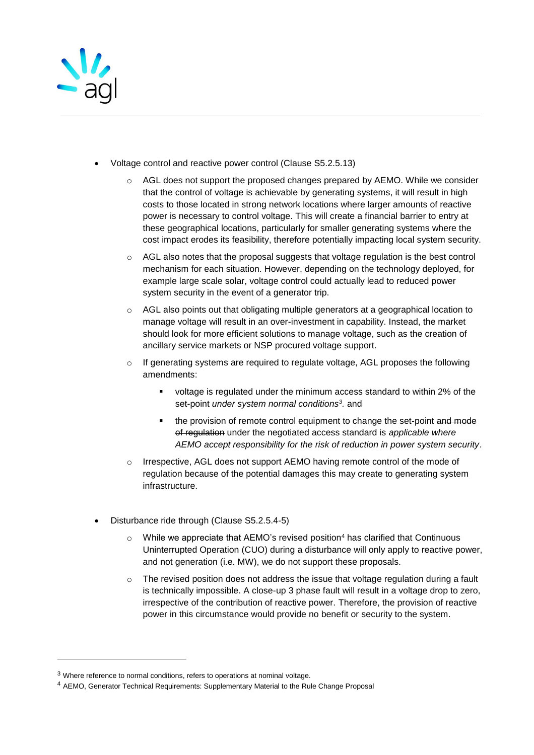

- Voltage control and reactive power control (Clause S5.2.5.13)
	- AGL does not support the proposed changes prepared by AEMO. While we consider that the control of voltage is achievable by generating systems, it will result in high costs to those located in strong network locations where larger amounts of reactive power is necessary to control voltage. This will create a financial barrier to entry at these geographical locations, particularly for smaller generating systems where the cost impact erodes its feasibility, therefore potentially impacting local system security.
	- $\circ$  AGL also notes that the proposal suggests that voltage regulation is the best control mechanism for each situation. However, depending on the technology deployed, for example large scale solar, voltage control could actually lead to reduced power system security in the event of a generator trip.
	- $\circ$  AGL also points out that obligating multiple generators at a geographical location to manage voltage will result in an over-investment in capability. Instead, the market should look for more efficient solutions to manage voltage, such as the creation of ancillary service markets or NSP procured voltage support.
	- $\circ$  If generating systems are required to regulate voltage, AGL proposes the following amendments:
		- voltage is regulated under the minimum access standard to within 2% of the set-point *under system normal conditions<sup>3</sup> .* and
		- the provision of remote control equipment to change the set-point and mode of regulation under the negotiated access standard is *applicable where AEMO accept responsibility for the risk of reduction in power system security*.
	- o Irrespective, AGL does not support AEMO having remote control of the mode of regulation because of the potential damages this may create to generating system infrastructure.
- Disturbance ride through (Clause S5.2.5.4-5)
	- While we appreciate that AEMO's revised position<sup>4</sup> has clarified that Continuous Uninterrupted Operation (CUO) during a disturbance will only apply to reactive power, and not generation (i.e. MW), we do not support these proposals.
	- $\circ$  The revised position does not address the issue that voltage regulation during a fault is technically impossible. A close-up 3 phase fault will result in a voltage drop to zero, irrespective of the contribution of reactive power. Therefore, the provision of reactive power in this circumstance would provide no benefit or security to the system.

l

<sup>&</sup>lt;sup>3</sup> Where reference to normal conditions, refers to operations at nominal voltage.

<sup>4</sup> AEMO, Generator Technical Requirements: Supplementary Material to the Rule Change Proposal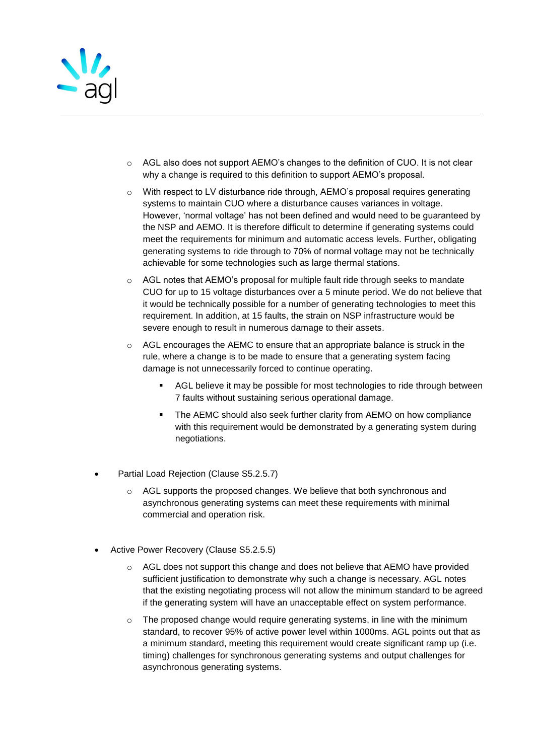

- $\circ$  AGL also does not support AEMO's changes to the definition of CUO. It is not clear why a change is required to this definition to support AEMO's proposal.
- $\circ$  With respect to LV disturbance ride through, AEMO's proposal requires generating systems to maintain CUO where a disturbance causes variances in voltage. However, 'normal voltage' has not been defined and would need to be guaranteed by the NSP and AEMO. It is therefore difficult to determine if generating systems could meet the requirements for minimum and automatic access levels. Further, obligating generating systems to ride through to 70% of normal voltage may not be technically achievable for some technologies such as large thermal stations.
- $\circ$  AGL notes that AEMO's proposal for multiple fault ride through seeks to mandate CUO for up to 15 voltage disturbances over a 5 minute period. We do not believe that it would be technically possible for a number of generating technologies to meet this requirement. In addition, at 15 faults, the strain on NSP infrastructure would be severe enough to result in numerous damage to their assets.
- $\circ$  AGL encourages the AEMC to ensure that an appropriate balance is struck in the rule, where a change is to be made to ensure that a generating system facing damage is not unnecessarily forced to continue operating.
	- AGL believe it may be possible for most technologies to ride through between 7 faults without sustaining serious operational damage.
	- The AEMC should also seek further clarity from AEMO on how compliance with this requirement would be demonstrated by a generating system during negotiations.
- Partial Load Rejection (Clause S5.2.5.7)
	- o AGL supports the proposed changes. We believe that both synchronous and asynchronous generating systems can meet these requirements with minimal commercial and operation risk.
- Active Power Recovery (Clause S5.2.5.5)
	- o AGL does not support this change and does not believe that AEMO have provided sufficient justification to demonstrate why such a change is necessary. AGL notes that the existing negotiating process will not allow the minimum standard to be agreed if the generating system will have an unacceptable effect on system performance.
	- $\circ$  The proposed change would require generating systems, in line with the minimum standard, to recover 95% of active power level within 1000ms. AGL points out that as a minimum standard, meeting this requirement would create significant ramp up (i.e. timing) challenges for synchronous generating systems and output challenges for asynchronous generating systems.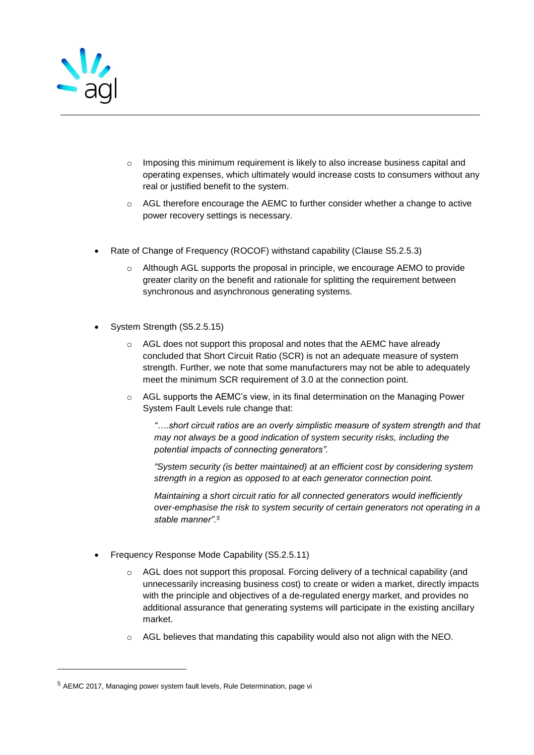

- $\circ$  Imposing this minimum requirement is likely to also increase business capital and operating expenses, which ultimately would increase costs to consumers without any real or justified benefit to the system.
- $\circ$  AGL therefore encourage the AEMC to further consider whether a change to active power recovery settings is necessary.
- Rate of Change of Frequency (ROCOF) withstand capability (Clause S5.2.5.3)
	- o Although AGL supports the proposal in principle, we encourage AEMO to provide greater clarity on the benefit and rationale for splitting the requirement between synchronous and asynchronous generating systems.
- System Strength (S5.2.5.15)
	- o AGL does not support this proposal and notes that the AEMC have already concluded that Short Circuit Ratio (SCR) is not an adequate measure of system strength. Further, we note that some manufacturers may not be able to adequately meet the minimum SCR requirement of 3.0 at the connection point.
	- o AGL supports the AEMC's view, in its final determination on the Managing Power System Fault Levels rule change that:

*"….short circuit ratios are an overly simplistic measure of system strength and that may not always be a good indication of system security risks, including the potential impacts of connecting generators".* 

*"System security (is better maintained) at an efficient cost by considering system strength in a region as opposed to at each generator connection point.* 

*Maintaining a short circuit ratio for all connected generators would inefficiently over-emphasise the risk to system security of certain generators not operating in a stable manner".<sup>5</sup>*

- Frequency Response Mode Capability (S5.2.5.11)
	- AGL does not support this proposal. Forcing delivery of a technical capability (and unnecessarily increasing business cost) to create or widen a market, directly impacts with the principle and objectives of a de-regulated energy market, and provides no additional assurance that generating systems will participate in the existing ancillary market.
	- $\circ$  AGL believes that mandating this capability would also not align with the NEO.

l

<sup>5</sup> AEMC 2017, Managing power system fault levels, Rule Determination, page vi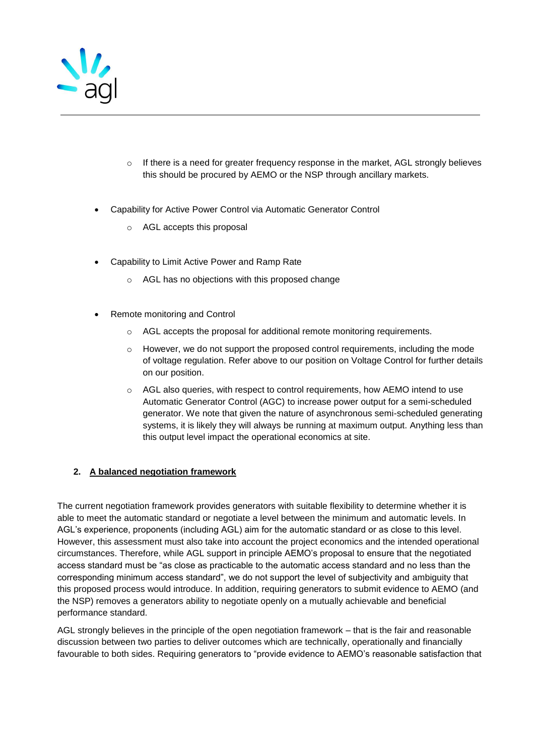

- $\circ$  If there is a need for greater frequency response in the market, AGL strongly believes this should be procured by AEMO or the NSP through ancillary markets.
- Capability for Active Power Control via Automatic Generator Control
	- o AGL accepts this proposal
- Capability to Limit Active Power and Ramp Rate
	- o AGL has no objections with this proposed change
- Remote monitoring and Control
	- $\circ$  AGL accepts the proposal for additional remote monitoring requirements.
	- $\circ$  However, we do not support the proposed control requirements, including the mode of voltage regulation. Refer above to our position on Voltage Control for further details on our position.
	- $\circ$  AGL also queries, with respect to control requirements, how AEMO intend to use Automatic Generator Control (AGC) to increase power output for a semi-scheduled generator. We note that given the nature of asynchronous semi-scheduled generating systems, it is likely they will always be running at maximum output. Anything less than this output level impact the operational economics at site.

## **2. A balanced negotiation framework**

The current negotiation framework provides generators with suitable flexibility to determine whether it is able to meet the automatic standard or negotiate a level between the minimum and automatic levels. In AGL's experience, proponents (including AGL) aim for the automatic standard or as close to this level. However, this assessment must also take into account the project economics and the intended operational circumstances. Therefore, while AGL support in principle AEMO's proposal to ensure that the negotiated access standard must be "as close as practicable to the automatic access standard and no less than the corresponding minimum access standard", we do not support the level of subjectivity and ambiguity that this proposed process would introduce. In addition, requiring generators to submit evidence to AEMO (and the NSP) removes a generators ability to negotiate openly on a mutually achievable and beneficial performance standard.

AGL strongly believes in the principle of the open negotiation framework – that is the fair and reasonable discussion between two parties to deliver outcomes which are technically, operationally and financially favourable to both sides. Requiring generators to "provide evidence to AEMO's reasonable satisfaction that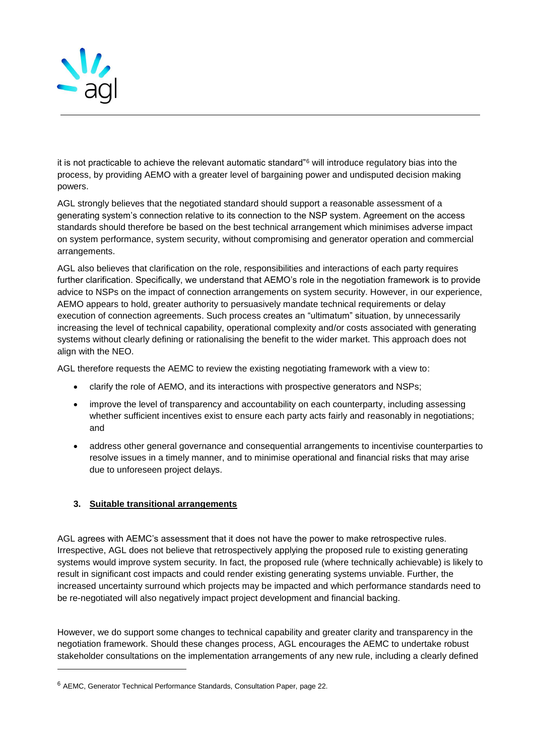

it is not practicable to achieve the relevant automatic standard"<sup>6</sup> will introduce regulatory bias into the process, by providing AEMO with a greater level of bargaining power and undisputed decision making powers.

AGL strongly believes that the negotiated standard should support a reasonable assessment of a generating system's connection relative to its connection to the NSP system. Agreement on the access standards should therefore be based on the best technical arrangement which minimises adverse impact on system performance, system security, without compromising and generator operation and commercial arrangements.

AGL also believes that clarification on the role, responsibilities and interactions of each party requires further clarification. Specifically, we understand that AEMO's role in the negotiation framework is to provide advice to NSPs on the impact of connection arrangements on system security. However, in our experience, AEMO appears to hold, greater authority to persuasively mandate technical requirements or delay execution of connection agreements. Such process creates an "ultimatum" situation, by unnecessarily increasing the level of technical capability, operational complexity and/or costs associated with generating systems without clearly defining or rationalising the benefit to the wider market. This approach does not align with the NEO.

AGL therefore requests the AEMC to review the existing negotiating framework with a view to:

- clarify the role of AEMO, and its interactions with prospective generators and NSPs;
- improve the level of transparency and accountability on each counterparty, including assessing whether sufficient incentives exist to ensure each party acts fairly and reasonably in negotiations; and
- address other general governance and consequential arrangements to incentivise counterparties to resolve issues in a timely manner, and to minimise operational and financial risks that may arise due to unforeseen project delays.

## **3. Suitable transitional arrangements**

l

AGL agrees with AEMC's assessment that it does not have the power to make retrospective rules. Irrespective, AGL does not believe that retrospectively applying the proposed rule to existing generating systems would improve system security. In fact, the proposed rule (where technically achievable) is likely to result in significant cost impacts and could render existing generating systems unviable. Further, the increased uncertainty surround which projects may be impacted and which performance standards need to be re-negotiated will also negatively impact project development and financial backing.

However, we do support some changes to technical capability and greater clarity and transparency in the negotiation framework. Should these changes process, AGL encourages the AEMC to undertake robust stakeholder consultations on the implementation arrangements of any new rule, including a clearly defined

<sup>6</sup> AEMC, Generator Technical Performance Standards, Consultation Paper, page 22.